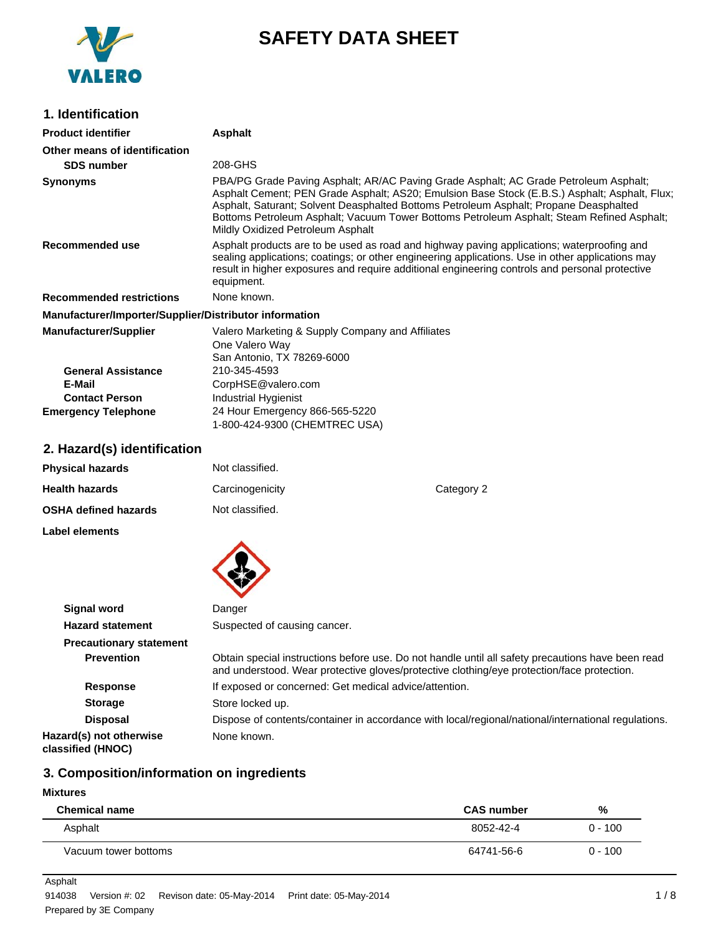

# **SAFETY DATA SHEET**

## **1. Identification**

| <b>Product identifier</b>                              | Asphalt                                                                                                                                                                                                                                                                                                                                                                                                          |
|--------------------------------------------------------|------------------------------------------------------------------------------------------------------------------------------------------------------------------------------------------------------------------------------------------------------------------------------------------------------------------------------------------------------------------------------------------------------------------|
| Other means of identification                          |                                                                                                                                                                                                                                                                                                                                                                                                                  |
| <b>SDS number</b>                                      | 208-GHS                                                                                                                                                                                                                                                                                                                                                                                                          |
| <b>Synonyms</b>                                        | PBA/PG Grade Paving Asphalt; AR/AC Paving Grade Asphalt; AC Grade Petroleum Asphalt;<br>Asphalt Cement; PEN Grade Asphalt; AS20; Emulsion Base Stock (E.B.S.) Asphalt; Asphalt, Flux;<br>Asphalt, Saturant; Solvent Deasphalted Bottoms Petroleum Asphalt; Propane Deasphalted<br>Bottoms Petroleum Asphalt; Vacuum Tower Bottoms Petroleum Asphalt; Steam Refined Asphalt;<br>Mildly Oxidized Petroleum Asphalt |
| Recommended use                                        | Asphalt products are to be used as road and highway paving applications; waterproofing and<br>sealing applications; coatings; or other engineering applications. Use in other applications may<br>result in higher exposures and require additional engineering controls and personal protective<br>equipment.                                                                                                   |
| <b>Recommended restrictions</b>                        | None known.                                                                                                                                                                                                                                                                                                                                                                                                      |
| Manufacturer/Importer/Supplier/Distributor information |                                                                                                                                                                                                                                                                                                                                                                                                                  |
| <b>Manufacturer/Supplier</b>                           | Valero Marketing & Supply Company and Affiliates<br>One Valero Way<br>San Antonio, TX 78269-6000                                                                                                                                                                                                                                                                                                                 |
| <b>General Assistance</b>                              | 210-345-4593                                                                                                                                                                                                                                                                                                                                                                                                     |
| E-Mail                                                 | CorpHSE@valero.com                                                                                                                                                                                                                                                                                                                                                                                               |
| <b>Contact Person</b>                                  | Industrial Hygienist                                                                                                                                                                                                                                                                                                                                                                                             |
| <b>Emergency Telephone</b>                             | 24 Hour Emergency 866-565-5220<br>1-800-424-9300 (CHEMTREC USA)                                                                                                                                                                                                                                                                                                                                                  |

## **2. Hazard(s) identification**

| <b>Physical hazards</b>     | Not classified. |            |
|-----------------------------|-----------------|------------|
| <b>Health hazards</b>       | Carcinogenicity | Category 2 |
| <b>OSHA defined hazards</b> | Not classified. |            |
| Label elements              |                 |            |



| Signal word                                  | Danger                                                                                                                                                                                          |
|----------------------------------------------|-------------------------------------------------------------------------------------------------------------------------------------------------------------------------------------------------|
| <b>Hazard statement</b>                      | Suspected of causing cancer.                                                                                                                                                                    |
| <b>Precautionary statement</b>               |                                                                                                                                                                                                 |
| <b>Prevention</b>                            | Obtain special instructions before use. Do not handle until all safety precautions have been read<br>and understood. Wear protective gloves/protective clothing/eye protection/face protection. |
| <b>Response</b>                              | If exposed or concerned: Get medical advice/attention.                                                                                                                                          |
| <b>Storage</b>                               | Store locked up.                                                                                                                                                                                |
| <b>Disposal</b>                              | Dispose of contents/container in accordance with local/regional/national/international regulations.                                                                                             |
| Hazard(s) not otherwise<br>classified (HNOC) | None known.                                                                                                                                                                                     |

## **3. Composition/information on ingredients**

## **Mixtures**

| <b>Chemical name</b> | <b>CAS number</b> | %         |
|----------------------|-------------------|-----------|
| Asphalt              | 8052-42-4         | $0 - 100$ |
| Vacuum tower bottoms | 64741-56-6        | $0 - 100$ |

Asphalt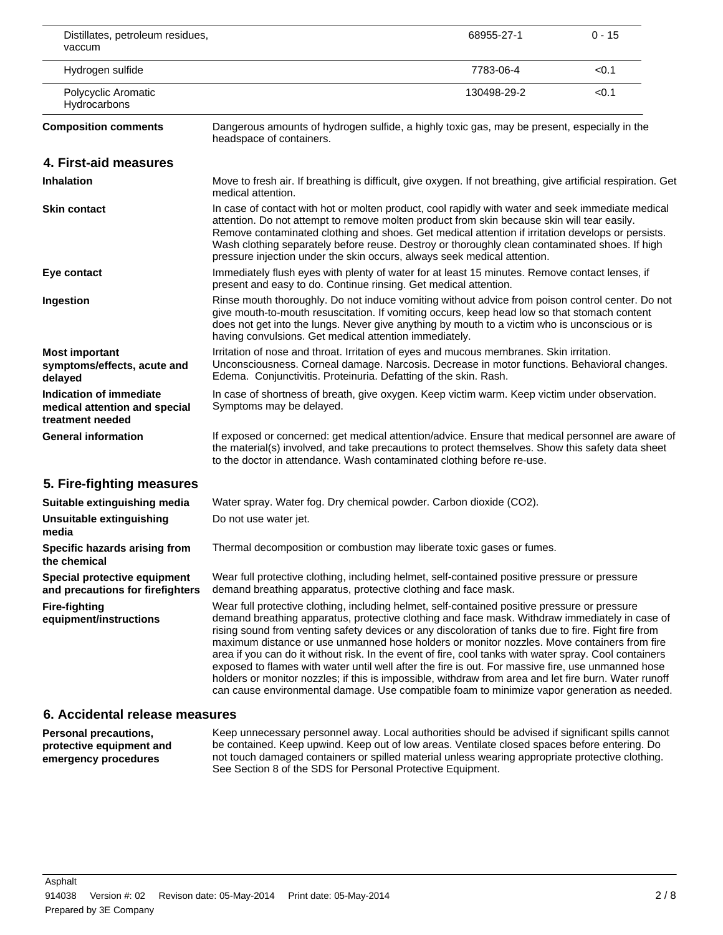| Distillates, petroleum residues,<br>vaccum                                   |                                                                                                                                                                                                                                                                                                                                                                                                                                                                                                                 | 68955-27-1  | $0 - 15$ |
|------------------------------------------------------------------------------|-----------------------------------------------------------------------------------------------------------------------------------------------------------------------------------------------------------------------------------------------------------------------------------------------------------------------------------------------------------------------------------------------------------------------------------------------------------------------------------------------------------------|-------------|----------|
| Hydrogen sulfide                                                             |                                                                                                                                                                                                                                                                                                                                                                                                                                                                                                                 | 7783-06-4   | < 0.1    |
| Polycyclic Aromatic<br>Hydrocarbons                                          |                                                                                                                                                                                                                                                                                                                                                                                                                                                                                                                 | 130498-29-2 | < 0.1    |
| <b>Composition comments</b>                                                  | Dangerous amounts of hydrogen sulfide, a highly toxic gas, may be present, especially in the<br>headspace of containers.                                                                                                                                                                                                                                                                                                                                                                                        |             |          |
| 4. First-aid measures                                                        |                                                                                                                                                                                                                                                                                                                                                                                                                                                                                                                 |             |          |
| <b>Inhalation</b>                                                            | Move to fresh air. If breathing is difficult, give oxygen. If not breathing, give artificial respiration. Get<br>medical attention.                                                                                                                                                                                                                                                                                                                                                                             |             |          |
| <b>Skin contact</b>                                                          | In case of contact with hot or molten product, cool rapidly with water and seek immediate medical<br>attention. Do not attempt to remove molten product from skin because skin will tear easily.<br>Remove contaminated clothing and shoes. Get medical attention if irritation develops or persists.<br>Wash clothing separately before reuse. Destroy or thoroughly clean contaminated shoes. If high<br>pressure injection under the skin occurs, always seek medical attention.                             |             |          |
| Eye contact                                                                  | Immediately flush eyes with plenty of water for at least 15 minutes. Remove contact lenses, if<br>present and easy to do. Continue rinsing. Get medical attention.                                                                                                                                                                                                                                                                                                                                              |             |          |
| Ingestion                                                                    | Rinse mouth thoroughly. Do not induce vomiting without advice from poison control center. Do not<br>give mouth-to-mouth resuscitation. If vomiting occurs, keep head low so that stomach content<br>does not get into the lungs. Never give anything by mouth to a victim who is unconscious or is<br>having convulsions. Get medical attention immediately.                                                                                                                                                    |             |          |
| <b>Most important</b><br>symptoms/effects, acute and<br>delayed              | Irritation of nose and throat. Irritation of eyes and mucous membranes. Skin irritation.<br>Unconsciousness. Corneal damage. Narcosis. Decrease in motor functions. Behavioral changes.<br>Edema. Conjunctivitis. Proteinuria. Defatting of the skin. Rash.                                                                                                                                                                                                                                                     |             |          |
| Indication of immediate<br>medical attention and special<br>treatment needed | In case of shortness of breath, give oxygen. Keep victim warm. Keep victim under observation.<br>Symptoms may be delayed.                                                                                                                                                                                                                                                                                                                                                                                       |             |          |
| <b>General information</b>                                                   | If exposed or concerned: get medical attention/advice. Ensure that medical personnel are aware of<br>the material(s) involved, and take precautions to protect themselves. Show this safety data sheet<br>to the doctor in attendance. Wash contaminated clothing before re-use.                                                                                                                                                                                                                                |             |          |
| 5. Fire-fighting measures                                                    |                                                                                                                                                                                                                                                                                                                                                                                                                                                                                                                 |             |          |
| Suitable extinguishing media                                                 | Water spray. Water fog. Dry chemical powder. Carbon dioxide (CO2).                                                                                                                                                                                                                                                                                                                                                                                                                                              |             |          |
| <b>Unsuitable extinguishing</b><br>media                                     | Do not use water jet.                                                                                                                                                                                                                                                                                                                                                                                                                                                                                           |             |          |
| Specific hazards arising from<br>the chemical                                | Thermal decomposition or combustion may liberate toxic gases or fumes                                                                                                                                                                                                                                                                                                                                                                                                                                           |             |          |
| Special protective equipment<br>and precautions for firefighters             | Wear full protective clothing, including helmet, self-contained positive pressure or pressure<br>demand breathing apparatus, protective clothing and face mask.                                                                                                                                                                                                                                                                                                                                                 |             |          |
| <b>Fire-fighting</b><br>equipment/instructions                               | Wear full protective clothing, including helmet, self-contained positive pressure or pressure<br>demand breathing apparatus, protective clothing and face mask. Withdraw immediately in case of<br>rising sound from venting safety devices or any discoloration of tanks due to fire. Fight fire from<br>maximum distance or use unmanned hose holders or monitor nozzles. Move containers from fire<br>area if you can do it without risk. In the event of fire, cool tanks with water spray. Cool containers |             |          |

## **6. Accidental release measures**

**Personal precautions, protective equipment and emergency procedures** Keep unnecessary personnel away. Local authorities should be advised if significant spills cannot be contained. Keep upwind. Keep out of low areas. Ventilate closed spaces before entering. Do not touch damaged containers or spilled material unless wearing appropriate protective clothing. See Section 8 of the SDS for Personal Protective Equipment.

exposed to flames with water until well after the fire is out. For massive fire, use unmanned hose holders or monitor nozzles; if this is impossible, withdraw from area and let fire burn. Water runoff can cause environmental damage. Use compatible foam to minimize vapor generation as needed.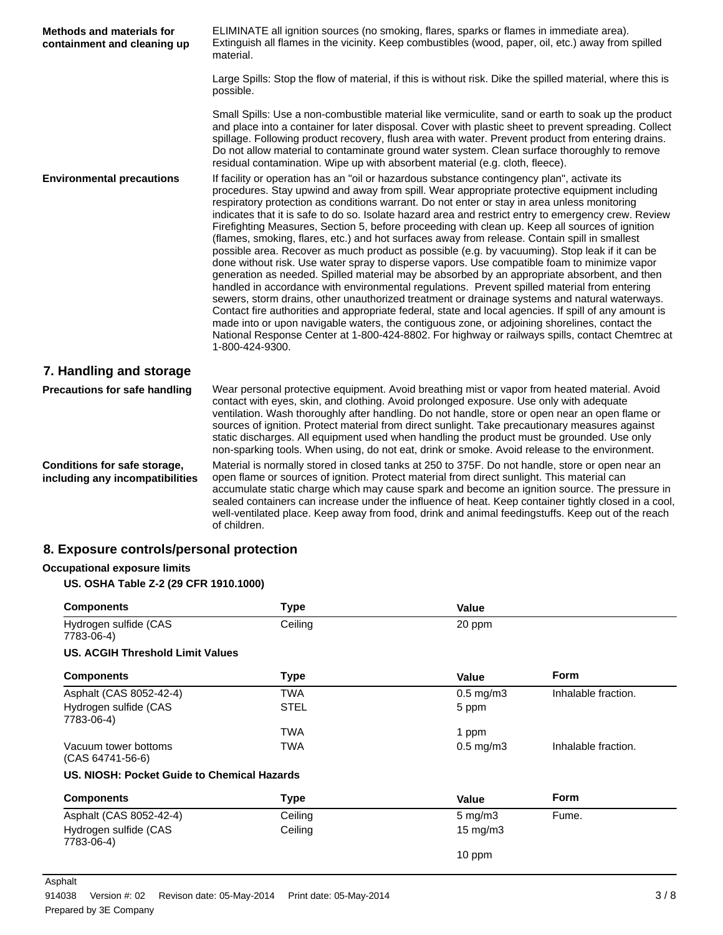| <b>Methods and materials for</b><br>containment and cleaning up | ELIMINATE all ignition sources (no smoking, flares, sparks or flames in immediate area).<br>Extinguish all flames in the vicinity. Keep combustibles (wood, paper, oil, etc.) away from spilled<br>material.                                                                                                                                                                                                                                                                                                                                                                                                                                                                                                                                                                                                                                                                                                                                                                                                                                                                                                                                                                                                                                                                                                                                                                                                                               |
|-----------------------------------------------------------------|--------------------------------------------------------------------------------------------------------------------------------------------------------------------------------------------------------------------------------------------------------------------------------------------------------------------------------------------------------------------------------------------------------------------------------------------------------------------------------------------------------------------------------------------------------------------------------------------------------------------------------------------------------------------------------------------------------------------------------------------------------------------------------------------------------------------------------------------------------------------------------------------------------------------------------------------------------------------------------------------------------------------------------------------------------------------------------------------------------------------------------------------------------------------------------------------------------------------------------------------------------------------------------------------------------------------------------------------------------------------------------------------------------------------------------------------|
|                                                                 | Large Spills: Stop the flow of material, if this is without risk. Dike the spilled material, where this is<br>possible.                                                                                                                                                                                                                                                                                                                                                                                                                                                                                                                                                                                                                                                                                                                                                                                                                                                                                                                                                                                                                                                                                                                                                                                                                                                                                                                    |
|                                                                 | Small Spills: Use a non-combustible material like vermiculite, sand or earth to soak up the product<br>and place into a container for later disposal. Cover with plastic sheet to prevent spreading. Collect<br>spillage. Following product recovery, flush area with water. Prevent product from entering drains.<br>Do not allow material to contaminate ground water system. Clean surface thoroughly to remove<br>residual contamination. Wipe up with absorbent material (e.g. cloth, fleece).                                                                                                                                                                                                                                                                                                                                                                                                                                                                                                                                                                                                                                                                                                                                                                                                                                                                                                                                        |
| <b>Environmental precautions</b>                                | If facility or operation has an "oil or hazardous substance contingency plan", activate its<br>procedures. Stay upwind and away from spill. Wear appropriate protective equipment including<br>respiratory protection as conditions warrant. Do not enter or stay in area unless monitoring<br>indicates that it is safe to do so. Isolate hazard area and restrict entry to emergency crew. Review<br>Firefighting Measures, Section 5, before proceeding with clean up. Keep all sources of ignition<br>(flames, smoking, flares, etc.) and hot surfaces away from release. Contain spill in smallest<br>possible area. Recover as much product as possible (e.g. by vacuuming). Stop leak if it can be<br>done without risk. Use water spray to disperse vapors. Use compatible foam to minimize vapor<br>generation as needed. Spilled material may be absorbed by an appropriate absorbent, and then<br>handled in accordance with environmental regulations. Prevent spilled material from entering<br>sewers, storm drains, other unauthorized treatment or drainage systems and natural waterways.<br>Contact fire authorities and appropriate federal, state and local agencies. If spill of any amount is<br>made into or upon navigable waters, the contiguous zone, or adjoining shorelines, contact the<br>National Response Center at 1-800-424-8802. For highway or railways spills, contact Chemtrec at<br>1-800-424-9300. |
| 7. Handling and storage                                         |                                                                                                                                                                                                                                                                                                                                                                                                                                                                                                                                                                                                                                                                                                                                                                                                                                                                                                                                                                                                                                                                                                                                                                                                                                                                                                                                                                                                                                            |
| <b>Precautions for safe handling</b>                            | Wear personal protective equipment. Avoid breathing mist or vapor from heated material. Avoid<br>contact with eyes, skin, and clothing. Avoid prolonged exposure. Use only with adequate<br>ventilation. Wash thoroughly after handling. Do not handle, store or open near an open flame or<br>sources of ignition. Protect material from direct sunlight. Take precautionary measures against<br>static discharges. All equipment used when handling the product must be grounded. Use only<br>non-sparking tools. When using, do not eat, drink or smoke. Avoid release to the environment.                                                                                                                                                                                                                                                                                                                                                                                                                                                                                                                                                                                                                                                                                                                                                                                                                                              |
| Conditions for safe storage,<br>including any incompatibilities | Material is normally stored in closed tanks at 250 to 375F. Do not handle, store or open near an<br>open flame or sources of ignition. Protect material from direct sunlight. This material can<br>accumulate static charge which may cause spark and become an ignition source. The pressure in<br>sealed containers can increase under the influence of heat. Keep container tightly closed in a cool,<br>well-ventilated place. Keep away from food, drink and animal feedingstuffs. Keep out of the reach<br>of children.                                                                                                                                                                                                                                                                                                                                                                                                                                                                                                                                                                                                                                                                                                                                                                                                                                                                                                              |

## **8. Exposure controls/personal protection**

## **Occupational exposure limits**

## **US. OSHA Table Z-2 (29 CFR 1910.1000)**

| <b>Components</b>                           | <b>Type</b> | Value                |                     |
|---------------------------------------------|-------------|----------------------|---------------------|
| Hydrogen sulfide (CAS<br>7783-06-4)         | Ceiling     | 20 ppm               |                     |
| <b>US. ACGIH Threshold Limit Values</b>     |             |                      |                     |
| <b>Components</b>                           | <b>Type</b> | Value                | <b>Form</b>         |
| Asphalt (CAS 8052-42-4)                     | TWA         | $0.5 \text{ mg/m}$ 3 | Inhalable fraction. |
| Hydrogen sulfide (CAS<br>7783-06-4)         | <b>STEL</b> | 5 ppm                |                     |
|                                             | TWA         | 1 ppm                |                     |
| Vacuum tower bottoms<br>(CAS 64741-56-6)    | TWA         | $0.5 \text{ mg/m}$ 3 | Inhalable fraction. |
| US. NIOSH: Pocket Guide to Chemical Hazards |             |                      |                     |
| <b>Components</b>                           | <b>Type</b> | Value                | <b>Form</b>         |
| Asphalt (CAS 8052-42-4)                     | Ceiling     | $5 \text{ mg/m}$ 3   | Fume.               |
| Hydrogen sulfide (CAS<br>7783-06-4)         | Ceiling     | 15 mg/m $3$          |                     |
|                                             |             | 10 ppm               |                     |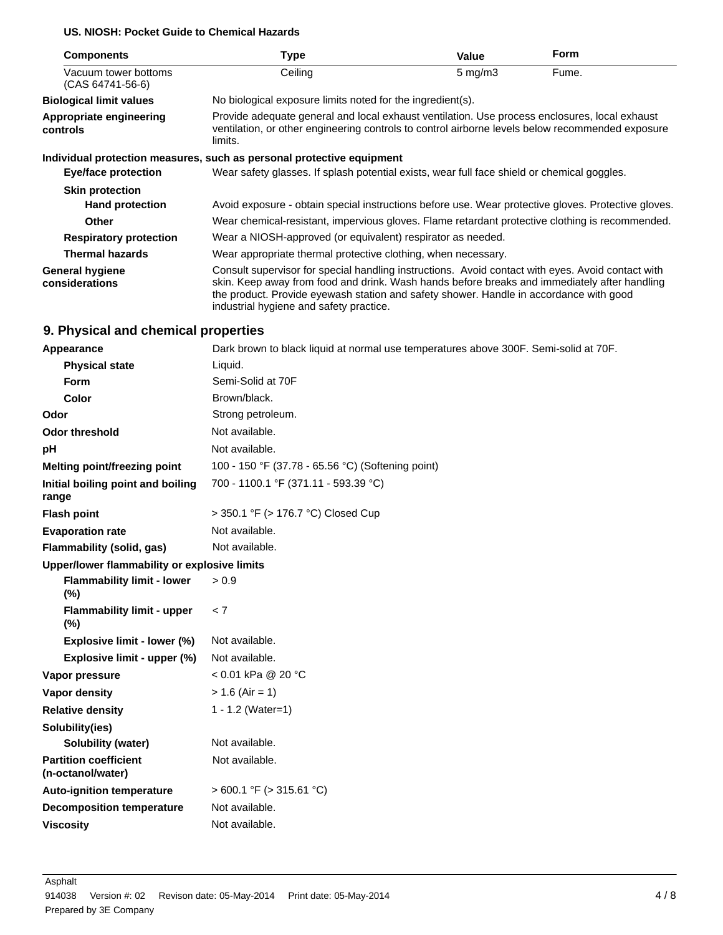## **US. NIOSH: Pocket Guide to Chemical Hazards**

| <b>Components</b>                        | Type                                                                                                                                                                                                                                                                                                                                   | Value              | <b>Form</b> |
|------------------------------------------|----------------------------------------------------------------------------------------------------------------------------------------------------------------------------------------------------------------------------------------------------------------------------------------------------------------------------------------|--------------------|-------------|
| Vacuum tower bottoms<br>(CAS 64741-56-6) | Ceiling                                                                                                                                                                                                                                                                                                                                | $5 \text{ mg/m}$ 3 | Fume.       |
| <b>Biological limit values</b>           | No biological exposure limits noted for the ingredient(s).                                                                                                                                                                                                                                                                             |                    |             |
| Appropriate engineering<br>controls      | Provide adequate general and local exhaust ventilation. Use process enclosures, local exhaust<br>ventilation, or other engineering controls to control airborne levels below recommended exposure<br>limits.                                                                                                                           |                    |             |
|                                          | Individual protection measures, such as personal protective equipment                                                                                                                                                                                                                                                                  |                    |             |
| Eye/face protection                      | Wear safety glasses. If splash potential exists, wear full face shield or chemical goggles.                                                                                                                                                                                                                                            |                    |             |
| <b>Skin protection</b>                   |                                                                                                                                                                                                                                                                                                                                        |                    |             |
| <b>Hand protection</b>                   | Avoid exposure - obtain special instructions before use. Wear protective gloves. Protective gloves.                                                                                                                                                                                                                                    |                    |             |
| Other                                    | Wear chemical-resistant, impervious gloves. Flame retardant protective clothing is recommended.                                                                                                                                                                                                                                        |                    |             |
| <b>Respiratory protection</b>            | Wear a NIOSH-approved (or equivalent) respirator as needed.                                                                                                                                                                                                                                                                            |                    |             |
| <b>Thermal hazards</b>                   | Wear appropriate thermal protective clothing, when necessary.                                                                                                                                                                                                                                                                          |                    |             |
| <b>General hygiene</b><br>considerations | Consult supervisor for special handling instructions. Avoid contact with eyes. Avoid contact with<br>skin. Keep away from food and drink. Wash hands before breaks and immediately after handling<br>the product. Provide eyewash station and safety shower. Handle in accordance with good<br>industrial hygiene and safety practice. |                    |             |

## **9. Physical and chemical properties**

| Appearance                                        | Dark brown to black liquid at normal use temperatures above 300F. Semi-solid at 70F. |
|---------------------------------------------------|--------------------------------------------------------------------------------------|
| <b>Physical state</b>                             | Liquid.                                                                              |
| <b>Form</b>                                       | Semi-Solid at 70F                                                                    |
| <b>Color</b>                                      | Brown/black.                                                                         |
| Odor                                              | Strong petroleum.                                                                    |
| <b>Odor threshold</b>                             | Not available.                                                                       |
| рH                                                | Not available.                                                                       |
| Melting point/freezing point                      | 100 - 150 °F (37.78 - 65.56 °C) (Softening point)                                    |
| Initial boiling point and boiling<br>range        | 700 - 1100.1 °F (371.11 - 593.39 °C)                                                 |
| <b>Flash point</b>                                | > 350.1 °F (> 176.7 °C) Closed Cup                                                   |
| <b>Evaporation rate</b>                           | Not available.                                                                       |
| Flammability (solid, gas)                         | Not available.                                                                       |
| Upper/lower flammability or explosive limits      |                                                                                      |
| <b>Flammability limit - lower</b><br>$(\%)$       | > 0.9                                                                                |
| <b>Flammability limit - upper</b><br>$(\%)$       | < 7                                                                                  |
| Explosive limit - lower (%)                       | Not available.                                                                       |
| Explosive limit - upper (%)                       | Not available.                                                                       |
| Vapor pressure                                    | < 0.01 kPa @ 20 °C                                                                   |
| <b>Vapor density</b>                              | $> 1.6$ (Air = 1)                                                                    |
| <b>Relative density</b>                           | 1 - 1.2 (Water=1)                                                                    |
| Solubility(ies)                                   |                                                                                      |
| <b>Solubility (water)</b>                         | Not available.                                                                       |
| <b>Partition coefficient</b><br>(n-octanol/water) | Not available.                                                                       |
| <b>Auto-ignition temperature</b>                  | $>$ 600.1 °F ( $>$ 315.61 °C)                                                        |
| <b>Decomposition temperature</b>                  | Not available.                                                                       |
| <b>Viscosity</b>                                  | Not available.                                                                       |
|                                                   |                                                                                      |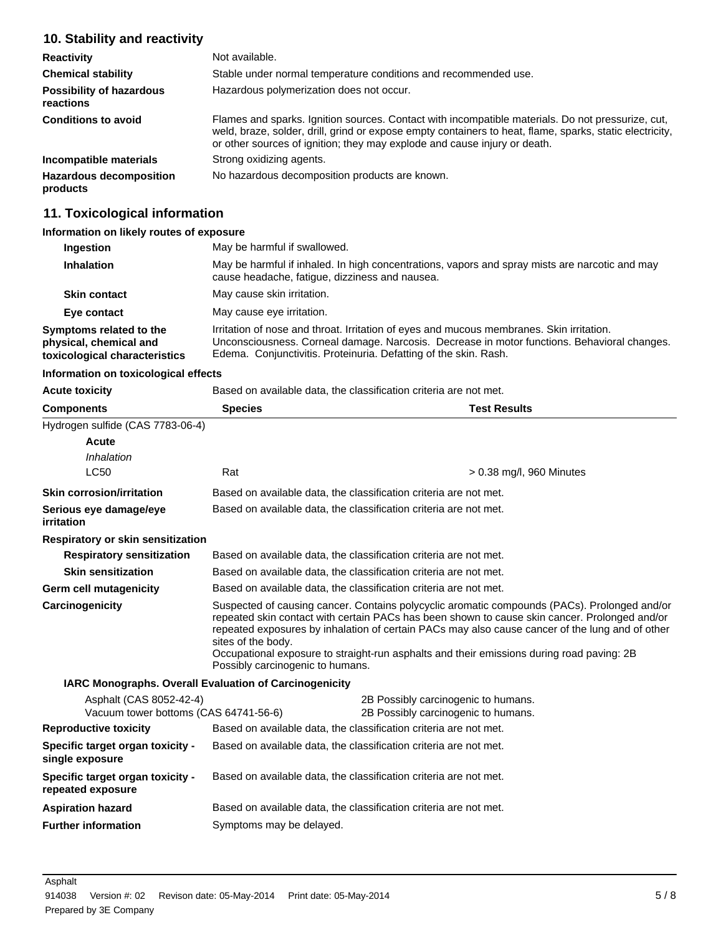#### **10. Stability and reactivity Reactivity Not available. Chemical stability** Stable under normal temperature conditions and recommended use. **Possibility of hazardous reactions** Hazardous polymerization does not occur. **Conditions to avoid** Flames and sparks. Ignition sources. Contact with incompatible materials. Do not pressurize, cut, weld, braze, solder, drill, grind or expose empty containers to heat, flame, sparks, static electricity, or other sources of ignition; they may explode and cause injury or death. **Incompatible materials** Strong oxidizing agents. **Hazardous decomposition products** No hazardous decomposition products are known.

## **11. Toxicological information**

## **Information on likely routes of exposure**

| Ingestion                                                                          | May be harmful if swallowed.                                                                                                                                                                                                                                |
|------------------------------------------------------------------------------------|-------------------------------------------------------------------------------------------------------------------------------------------------------------------------------------------------------------------------------------------------------------|
| <b>Inhalation</b>                                                                  | May be harmful if inhaled. In high concentrations, vapors and spray mists are narcotic and may<br>cause headache, fatigue, dizziness and nausea.                                                                                                            |
| <b>Skin contact</b>                                                                | May cause skin irritation.                                                                                                                                                                                                                                  |
| Eye contact                                                                        | May cause eye irritation.                                                                                                                                                                                                                                   |
| Symptoms related to the<br>physical, chemical and<br>toxicological characteristics | Irritation of nose and throat. Irritation of eyes and mucous membranes. Skin irritation.<br>Unconsciousness. Corneal damage. Narcosis. Decrease in motor functions. Behavioral changes.<br>Edema. Conjunctivitis. Proteinuria. Defatting of the skin. Rash. |

#### **Information on toxicological effects**

| <b>Acute toxicity</b>                                            | Based on available data, the classification criteria are not met.<br><b>Species</b><br><b>Test Results</b> |                                                                                                                                                                                                                                                                                                                                                                                               |  |
|------------------------------------------------------------------|------------------------------------------------------------------------------------------------------------|-----------------------------------------------------------------------------------------------------------------------------------------------------------------------------------------------------------------------------------------------------------------------------------------------------------------------------------------------------------------------------------------------|--|
| <b>Components</b>                                                |                                                                                                            |                                                                                                                                                                                                                                                                                                                                                                                               |  |
| Hydrogen sulfide (CAS 7783-06-4)                                 |                                                                                                            |                                                                                                                                                                                                                                                                                                                                                                                               |  |
| Acute                                                            |                                                                                                            |                                                                                                                                                                                                                                                                                                                                                                                               |  |
| Inhalation                                                       |                                                                                                            |                                                                                                                                                                                                                                                                                                                                                                                               |  |
| <b>LC50</b>                                                      | Rat                                                                                                        | $> 0.38$ mg/l, 960 Minutes                                                                                                                                                                                                                                                                                                                                                                    |  |
| <b>Skin corrosion/irritation</b>                                 |                                                                                                            | Based on available data, the classification criteria are not met.                                                                                                                                                                                                                                                                                                                             |  |
| Serious eye damage/eye<br>irritation                             |                                                                                                            | Based on available data, the classification criteria are not met.                                                                                                                                                                                                                                                                                                                             |  |
| Respiratory or skin sensitization                                |                                                                                                            |                                                                                                                                                                                                                                                                                                                                                                                               |  |
| <b>Respiratory sensitization</b>                                 |                                                                                                            | Based on available data, the classification criteria are not met.                                                                                                                                                                                                                                                                                                                             |  |
| <b>Skin sensitization</b>                                        | Based on available data, the classification criteria are not met.                                          |                                                                                                                                                                                                                                                                                                                                                                                               |  |
| Germ cell mutagenicity                                           | Based on available data, the classification criteria are not met.                                          |                                                                                                                                                                                                                                                                                                                                                                                               |  |
| Carcinogenicity                                                  | sites of the body.<br>Possibly carcinogenic to humans.                                                     | Suspected of causing cancer. Contains polycyclic aromatic compounds (PACs). Prolonged and/or<br>repeated skin contact with certain PACs has been shown to cause skin cancer. Prolonged and/or<br>repeated exposures by inhalation of certain PACs may also cause cancer of the lung and of other<br>Occupational exposure to straight-run asphalts and their emissions during road paving: 2B |  |
| <b>IARC Monographs. Overall Evaluation of Carcinogenicity</b>    |                                                                                                            |                                                                                                                                                                                                                                                                                                                                                                                               |  |
| Asphalt (CAS 8052-42-4)<br>Vacuum tower bottoms (CAS 64741-56-6) |                                                                                                            | 2B Possibly carcinogenic to humans.<br>2B Possibly carcinogenic to humans.                                                                                                                                                                                                                                                                                                                    |  |
| <b>Reproductive toxicity</b>                                     |                                                                                                            | Based on available data, the classification criteria are not met.                                                                                                                                                                                                                                                                                                                             |  |
| Specific target organ toxicity -<br>single exposure              |                                                                                                            | Based on available data, the classification criteria are not met.                                                                                                                                                                                                                                                                                                                             |  |
| Specific target organ toxicity -<br>repeated exposure            |                                                                                                            | Based on available data, the classification criteria are not met.                                                                                                                                                                                                                                                                                                                             |  |
| <b>Aspiration hazard</b>                                         |                                                                                                            | Based on available data, the classification criteria are not met.                                                                                                                                                                                                                                                                                                                             |  |
| <b>Further information</b>                                       | Symptoms may be delayed.                                                                                   |                                                                                                                                                                                                                                                                                                                                                                                               |  |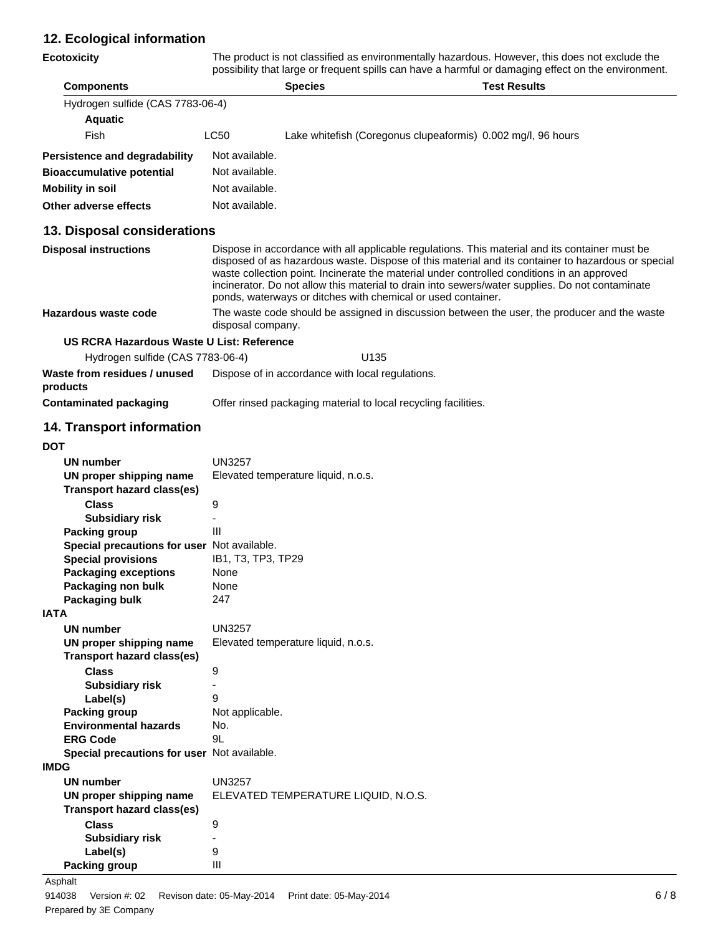## **12. Ecological information**

**Ecotoxicity** The product is not classified as environmentally hazardous. However, this does not exclude the possibility that large or frequent spills can have a harmful or damaging effect on the environment.

| <b>Components</b>                |                | <b>Species</b>                                               | <b>Test Results</b> |
|----------------------------------|----------------|--------------------------------------------------------------|---------------------|
| Hydrogen sulfide (CAS 7783-06-4) |                |                                                              |                     |
| <b>Aquatic</b>                   |                |                                                              |                     |
| Fish                             | LC50           | Lake whitefish (Coregonus clupeaformis) 0.002 mg/l, 96 hours |                     |
| Persistence and degradability    | Not available. |                                                              |                     |
| <b>Bioaccumulative potential</b> | Not available. |                                                              |                     |
| <b>Mobility in soil</b>          | Not available. |                                                              |                     |
| Other adverse effects            | Not available. |                                                              |                     |

## **13. Disposal considerations**

| <b>Disposal instructions</b> | Dispose in accordance with all applicable regulations. This material and its container must be<br>disposed of as hazardous waste. Dispose of this material and its container to hazardous or special<br>waste collection point. Incinerate the material under controlled conditions in an approved<br>incinerator. Do not allow this material to drain into sewers/water supplies. Do not contaminate<br>ponds, waterways or ditches with chemical or used container. |
|------------------------------|-----------------------------------------------------------------------------------------------------------------------------------------------------------------------------------------------------------------------------------------------------------------------------------------------------------------------------------------------------------------------------------------------------------------------------------------------------------------------|
| Hazardous waste code         | The waste code should be assigned in discussion between the user, the producer and the waste<br>disposal company.                                                                                                                                                                                                                                                                                                                                                     |

## **US RCRA Hazardous Waste U List: Reference**

| Hydrogen sulfide (CAS 7783-06-4)         | U135                                                           |  |
|------------------------------------------|----------------------------------------------------------------|--|
| Waste from residues / unused<br>products | Dispose of in accordance with local regulations.               |  |
| Contaminated packaging                   | Offer rinsed packaging material to local recycling facilities. |  |

## **14. Transport information**

| v<br>I<br>۰.<br>I<br>×<br>۰. |
|------------------------------|
|------------------------------|

|             | <b>UN number</b>                            | UN3257                              |
|-------------|---------------------------------------------|-------------------------------------|
|             | UN proper shipping name                     | Elevated temperature liquid, n.o.s. |
|             | <b>Transport hazard class(es)</b>           |                                     |
|             | <b>Class</b>                                | 9                                   |
|             | <b>Subsidiary risk</b>                      |                                     |
|             | Packing group                               | Ш                                   |
|             | Special precautions for user Not available. |                                     |
|             | <b>Special provisions</b>                   | IB1, T3, TP3, TP29                  |
|             | <b>Packaging exceptions</b>                 | None                                |
|             | Packaging non bulk                          | None                                |
|             | Packaging bulk                              | 247                                 |
| <b>IATA</b> |                                             |                                     |
|             | <b>UN number</b>                            | <b>UN3257</b>                       |
|             | UN proper shipping name                     | Elevated temperature liquid, n.o.s. |
|             | Transport hazard class(es)                  |                                     |
|             | <b>Class</b>                                | 9                                   |
|             | <b>Subsidiary risk</b>                      |                                     |
|             | Label(s)                                    | 9                                   |
|             | Packing group                               | Not applicable.                     |
|             | <b>Environmental hazards</b>                | No.                                 |
|             | <b>ERG Code</b>                             | 9L                                  |
|             | Special precautions for user Not available. |                                     |
| <b>IMDG</b> |                                             |                                     |
|             | <b>UN number</b>                            | <b>UN3257</b>                       |
|             | UN proper shipping name                     | ELEVATED TEMPERATURE LIQUID, N.O.S. |
|             | Transport hazard class(es)                  |                                     |
|             | <b>Class</b>                                | 9                                   |
|             | <b>Subsidiary risk</b>                      |                                     |
|             | Label(s)                                    | 9                                   |
|             | <b>Packing group</b>                        | Ш                                   |
|             |                                             |                                     |

#### Asphalt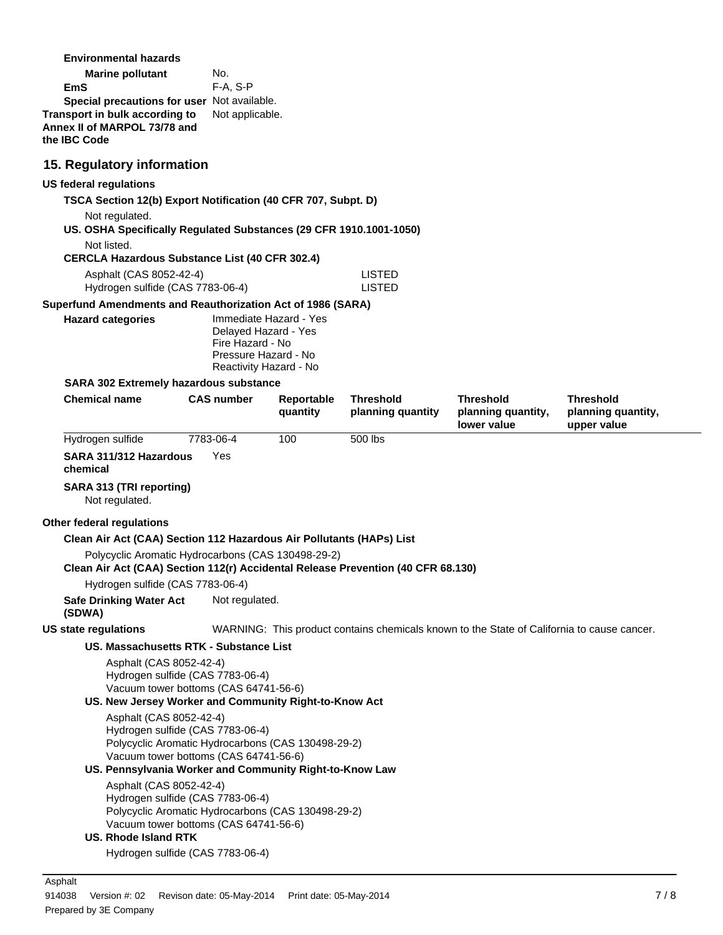| <b>Marine pollutant</b>                     | No.             |
|---------------------------------------------|-----------------|
| EmS                                         | $F-A. S-P$      |
| Special precautions for user Not available. |                 |
| Transport in bulk according to              | Not applicable. |
| Annex II of MARPOL 73/78 and                |                 |
| the IBC Code                                |                 |

## **15. Regulatory information**

#### **US federal regulations**

**TSCA Section 12(b) Export Notification (40 CFR 707, Subpt. D)**

Not regulated.

**US. OSHA Specifically Regulated Substances (29 CFR 1910.1001-1050)**

**CERCLA Hazardous Substance List (40 CFR 302.4)**

| Asphalt (CAS 8052-42-4)          | LISTED |
|----------------------------------|--------|
| Hydrogen sulfide (CAS 7783-06-4) | LISTED |

#### **Superfund Amendments and Reauthorization Act of 1986 (SARA)**

| <b>Hazard categories</b> | Immediate Hazard - Yes<br>Delayed Hazard - Yes<br>Fire Hazard - No |
|--------------------------|--------------------------------------------------------------------|
|                          | Pressure Hazard - No<br>Reactivity Hazard - No                     |

### **SARA 302 Extremely hazardous substance**

| <b>Chemical name</b>                                                                                 | <b>CAS number</b> | Reportable<br>quantity                             | <b>Threshold</b><br>planning quantity | <b>Threshold</b><br>planning quantity,<br>lower value                                      | <b>Threshold</b><br>planning quantity,<br>upper value |
|------------------------------------------------------------------------------------------------------|-------------------|----------------------------------------------------|---------------------------------------|--------------------------------------------------------------------------------------------|-------------------------------------------------------|
| Hydrogen sulfide                                                                                     | 7783-06-4         | 100                                                | 500 lbs                               |                                                                                            |                                                       |
| SARA 311/312 Hazardous<br>chemical                                                                   | Yes               |                                                    |                                       |                                                                                            |                                                       |
| SARA 313 (TRI reporting)<br>Not regulated.                                                           |                   |                                                    |                                       |                                                                                            |                                                       |
| Other federal regulations                                                                            |                   |                                                    |                                       |                                                                                            |                                                       |
| Clean Air Act (CAA) Section 112 Hazardous Air Pollutants (HAPs) List                                 |                   |                                                    |                                       |                                                                                            |                                                       |
| Polycyclic Aromatic Hydrocarbons (CAS 130498-29-2)                                                   |                   |                                                    |                                       |                                                                                            |                                                       |
| Clean Air Act (CAA) Section 112(r) Accidental Release Prevention (40 CFR 68.130)                     |                   |                                                    |                                       |                                                                                            |                                                       |
| Hydrogen sulfide (CAS 7783-06-4)                                                                     |                   |                                                    |                                       |                                                                                            |                                                       |
| <b>Safe Drinking Water Act</b><br>(SDWA)                                                             | Not regulated.    |                                                    |                                       |                                                                                            |                                                       |
| <b>US state regulations</b>                                                                          |                   |                                                    |                                       | WARNING: This product contains chemicals known to the State of California to cause cancer. |                                                       |
| US. Massachusetts RTK - Substance List                                                               |                   |                                                    |                                       |                                                                                            |                                                       |
| Asphalt (CAS 8052-42-4)<br>Hydrogen sulfide (CAS 7783-06-4)<br>Vacuum tower bottoms (CAS 64741-56-6) |                   |                                                    |                                       |                                                                                            |                                                       |
| US. New Jersey Worker and Community Right-to-Know Act                                                |                   |                                                    |                                       |                                                                                            |                                                       |
| Asphalt (CAS 8052-42-4)<br>Hydrogen sulfide (CAS 7783-06-4)                                          |                   |                                                    |                                       |                                                                                            |                                                       |
|                                                                                                      |                   | Polycyclic Aromatic Hydrocarbons (CAS 130498-29-2) |                                       |                                                                                            |                                                       |
| Vacuum tower bottoms (CAS 64741-56-6)                                                                |                   |                                                    |                                       |                                                                                            |                                                       |
| US. Pennsylvania Worker and Community Right-to-Know Law                                              |                   |                                                    |                                       |                                                                                            |                                                       |
| Asphalt (CAS 8052-42-4)<br>Hydrogen sulfide (CAS 7783-06-4)                                          |                   |                                                    |                                       |                                                                                            |                                                       |
|                                                                                                      |                   | Polycyclic Aromatic Hydrocarbons (CAS 130498-29-2) |                                       |                                                                                            |                                                       |
| Vacuum tower bottoms (CAS 64741-56-6)                                                                |                   |                                                    |                                       |                                                                                            |                                                       |
| <b>US. Rhode Island RTK</b>                                                                          |                   |                                                    |                                       |                                                                                            |                                                       |
| Hydrogen sulfide (CAS 7783-06-4)                                                                     |                   |                                                    |                                       |                                                                                            |                                                       |
|                                                                                                      |                   |                                                    |                                       |                                                                                            |                                                       |